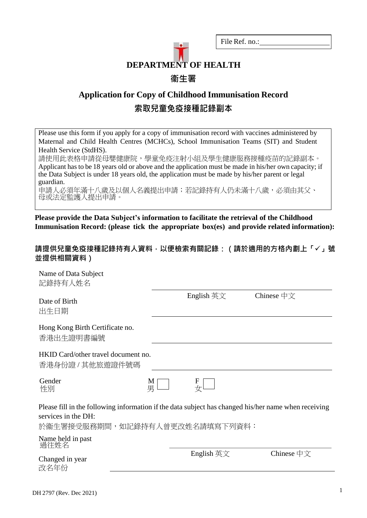

File Ref. no.:

## **Application for Copy of Childhood Immunisation Record 索取兒童免疫接種記錄副本**

Please use this form if you apply for a copy of immunisation record with vaccines administered by Maternal and Child Health Centres (MCHCs), School Immunisation Teams (SIT) and Student Health Service (StdHS).

請使用此表格申請從母嬰健康院,學童免疫注射小組及學生健康服務接種疫苗的記錄副本。 Applicant has to be 18 years old or above and the application must be made in his/her own capacity; if the Data Subject is under 18 years old, the application must be made by his/her parent or legal guardian.

申請人必須年滿十八歲及以個人名義提出申請;若記錄持有人仍未滿十八歲,必須由其父、 母或法定監護人提出申請。

**Please provide the Data Subject's information to facilitate the retrieval of the Childhood Immunisation Record: (please tick the appropriate box(es) and provide related information):** 

#### **請提供兒童免疫接種記錄持有人資料,以便檢索有關記錄:(請於適用的方格內劃上「」號 並提供相關資料)**

| Name of Data Subject<br>記錄持有人姓名                                                                                                                               |                                    |                                  |  |
|---------------------------------------------------------------------------------------------------------------------------------------------------------------|------------------------------------|----------------------------------|--|
| Date of Birth<br>出生日期                                                                                                                                         | English $\overline{H}\overline{X}$ | Chinese $\oplus \overline{\chi}$ |  |
| Hong Kong Birth Certificate no.<br>香港出生證明書編號                                                                                                                  |                                    |                                  |  |
| HKID Card/other travel document no.<br>香港身份證 / 其他旅遊證件號碼                                                                                                       |                                    |                                  |  |
| Gender<br>M<br>男<br>性別                                                                                                                                        | F                                  |                                  |  |
| Please fill in the following information if the data subject has changed his/her name when receiving<br>services in the DH:<br>於衞生署接受服務期間,如記錄持有人曾更改姓名請填寫下列資料: |                                    |                                  |  |
| Name held in past<br>過往姓名                                                                                                                                     |                                    |                                  |  |
| Changed in year<br>改名年份                                                                                                                                       | English 英文                         | Chinese $\oplus \overline{\chi}$ |  |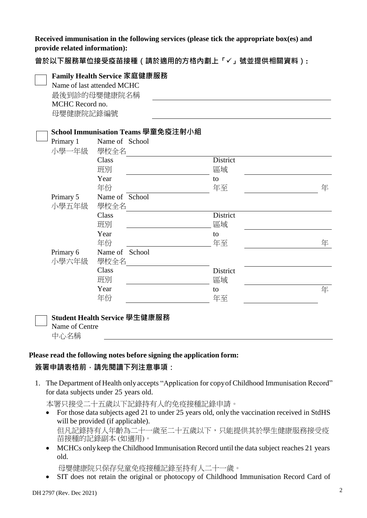**Received immunisation in the following services (please tick the appropriate box(es) and provide related information):** 

**曾於以下服務單位接受疫苗接種(請於適用的方格內劃上「」號並提供相關資料):**

|                 | Family Health Service 家庭健康服務       |          |   |
|-----------------|------------------------------------|----------|---|
|                 | Name of last attended MCHC         |          |   |
|                 | 最後到診的母嬰健康院名稱                       |          |   |
| MCHC Record no. |                                    |          |   |
| 母嬰健康院記錄編號       |                                    |          |   |
|                 |                                    |          |   |
|                 | School Immunisation Teams 學童免疫注射小組 |          |   |
| Primary 1       | Name of School                     |          |   |
| 小學一年級           | 學校全名                               |          |   |
|                 | Class                              | District |   |
|                 | 班別                                 | 區域       |   |
|                 | Year                               | to       |   |
|                 | 年份                                 | 年至       | 年 |
| Primary 5       | Name of School                     |          |   |
| 小學五年級           | 學校全名                               |          |   |
|                 | Class                              | District |   |
|                 | 班別                                 | 區域       |   |
|                 | Year                               | to       |   |
|                 | 年份                                 | 年至       | 年 |
| Primary 6       | Name of School                     |          |   |
| 小學六年級           | 學校全名                               |          |   |
|                 | Class                              | District |   |
|                 | 班別                                 | 區域       |   |
|                 | Year                               | to       | 年 |
|                 | 年份                                 | 年至       |   |
|                 |                                    |          |   |
|                 | Student Health Service 學生健康服務      |          |   |
| Name of Centre  |                                    |          |   |

#### **Please read the following notes before signing the application form:**

#### **簽署申請表格前,請先閱讀下列注意事項:**

1. The Department of Health only accepts "Application for copy of Childhood Immunisation Record" for data subjects under 25 years old.

本署只接受二十五歲以下記錄持有人的免疫接種記錄申請。

- For those data subjects aged 21 to under 25 years old, only the vaccination received in StdHS will be provided (if applicable). 但凡記錄持有人年齡為二十一歲至二十五歲以下,只能提供其於學生健康服務接受疫 苗接種的記錄副本 (如適用)。
- MCHCs only keep the Childhood Immunisation Record until the data subject reaches 21 years old.

母嬰健康院只保存兒童免疫接種記錄至持有人二十一歲。

SIT does not retain the original or photocopy of Childhood Immunisation Record Card of

中心名稱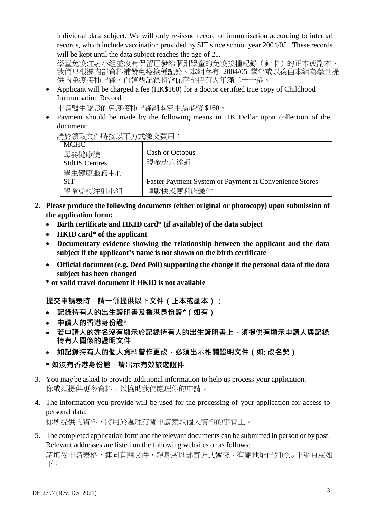individual data subject. We will only re-issue record of immunisation according to internal records, which include vaccination provided by SIT since school year 2004/05. These records will be kept until the data subject reaches the age of 21.

學童免疫注射小組並沒有保留已發給個別學童的免疫接種記錄(針卡)的正本或副本, 我們只根據內部資料補發免疫接種記錄。本組存有 2004/05 學年或以後由本組為學童提 供的免疫接種記錄,而這些記錄將會保存至持有人年滿二十一歲。

• Applicant will be charged a fee (HK\$160) for a doctor certified true copy of Childhood Immunisation Record.

申請醫生認證的免疫接種記錄副本費用為港幣 \$160。

 Payment should be made by the following means in HK Dollar upon collection of the document:

請於領取文件時按以下方式繳交費用:

| <b>MCHC</b>          |                                                               |
|----------------------|---------------------------------------------------------------|
| 母嬰健康院                | Cash or Octopus                                               |
| <b>StdHS Centres</b> | 現金或八達通                                                        |
| 學生健康服務中心             |                                                               |
| <b>SIT</b>           | <b>Faster Payment System or Payment at Convenience Stores</b> |
| 學童免疫注射小組             | 轉數快或便利店繳付                                                     |

- **2. Please produce the following documents (either original or photocopy) upon submission of the application form:**
	- **Birth certificate and HKID card\* (if available) of the data subject**
	- **HKID card\* of the applicant**
	- **Documentary evidence showing the relationship between the applicant and the data subject if the applicant's name is not shown on the birth certificate**
	- **Official document (e.g. Deed Poll) supporting the change if the personal data of the data subject has been changed**
	- **\* or valid travel document if HKID is not available**

提交申請表時,請一併提供以下文件(正本或副本)**:** 

- **記錄持有人的出生證明書及香港身份證\*(如有)**
- **申請人的香港身份證\***
- **若申請人的姓名沒有顯示於記錄持有人的出生證明書上,須提供有顯示申請人與記錄 持有人關係的證明文件**
- **如記錄持有人的個人資料曾作更改,必須出示相關證明文件(如: 改名契)**
- **\* 如沒有香港身份證,請出示有效旅遊證件**
- 3. You may be asked to provide additional information to help us process your application. 你或須提供更多資料,以協助我們處理你的申請。
- 4. The information you provide will be used for the processing of your application for access to personal data. 你所提供的資料,將用於處理有關申請索取個人資料的事宜上。

5. The completed application form and the relevant documents can be submitted in person or by post. Relevant addresses are listed on the following websites or as follows:

請填妥申請表格,連同有關文件,親身或以郵寄方式遞交。有關地址已列於以下網頁或如 下: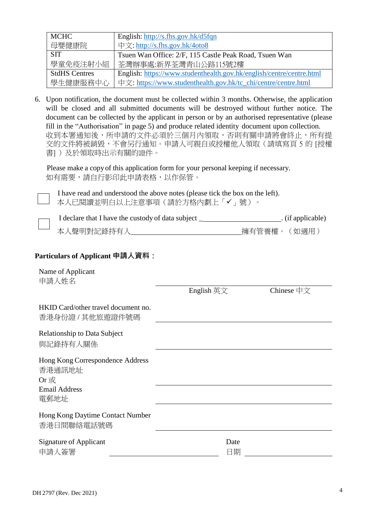| <b>MCHC</b>          | English: http://s.fhs.gov.hk/d5fqn                                   |
|----------------------|----------------------------------------------------------------------|
| 母嬰健康院                | 中文: http://s.fhs.gov.hk/4oto8                                        |
| <b>SIT</b>           | Tsuen Wan Office: 2/F, 115 Castle Peak Road, Tsuen Wan               |
| 學童免疫注射小組             | 荃灣辦事處:新界荃灣青山公路115號2樓                                                 |
| <b>StdHS Centres</b> | English: https://www.studenthealth.gov.hk/english/centre/centre.html |
| 學生健康服務中心             | 中文: https://www.studenthealth.gov.hk/tc_chi/centre/centre.html       |

6. Upon notification, the document must be collected within 3 months. Otherwise, the application will be closed and all submitted documents will be destroyed without further notice. The document can be collected by the applicant in person or by an authorised representative (please fill in the "Authorisation" in page 5) and produce related identity document upon collection. 收到本署通知後,所申請的文件必須於三個月內領取,否則有關申請將會終止,所有提 交的文件將被銷毀,不會另行通知。申請人可親自或授權他人領取(請填寫頁 5 的 [授權 書])及於領取時出示有關的證件。

Please make a copy of this application form for your personal keeping if necessary. 如有需要,請自行影印此申請表格,以作保管。

I have read and understood the above notes (please tick the box on the left). 本人已閱讀並明白以上注意事項(請於方格內劃上「√」號)。

| I declare that I have the custody of data subject | $\therefore$ (if applicable) |
|---------------------------------------------------|------------------------------|
| 本人聲明對記錄持有人                                        | _擁有管養權。(如適用)                 |

#### **Particulars of Applicant 申請人資料:**

Name of Applicant 申請人姓名

English 英文 Chinese 中文

| HKID Card/other travel document no.<br>香港身份證 / 其他旅遊證件號碼                              |            |
|--------------------------------------------------------------------------------------|------------|
| <b>Relationship to Data Subject</b><br>與記錄持有人關係                                      |            |
| Hong Kong Correspondence Address<br>香港通訊地址<br>$Or$ 或<br><b>Email Address</b><br>電郵地址 |            |
| Hong Kong Daytime Contact Number<br>香港日間聯絡電話號碼                                       |            |
| Signature of Applicant<br>申請人簽署                                                      | Date<br>日期 |